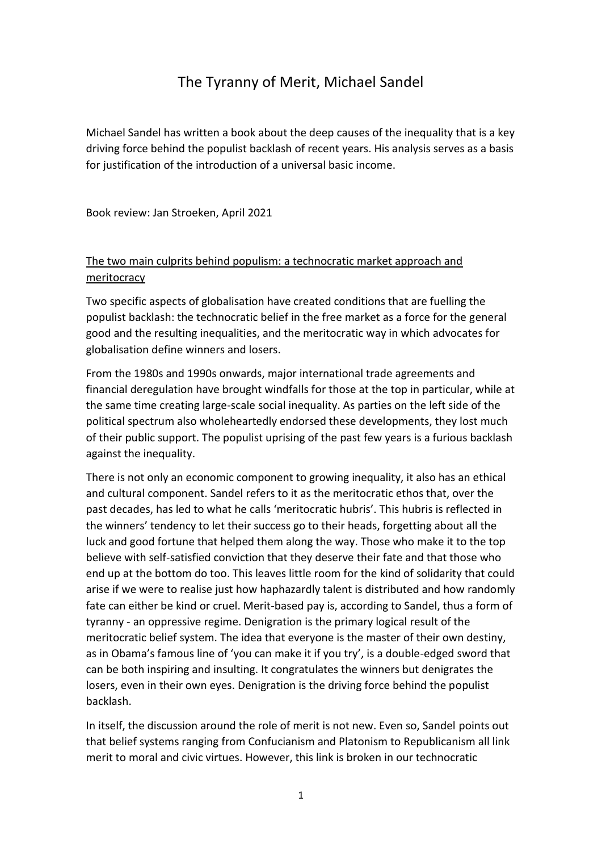# The Tyranny of Merit, Michael Sandel

Michael Sandel has written a book about the deep causes of the inequality that is a key driving force behind the populist backlash of recent years. His analysis serves as a basis for justification of the introduction of a universal basic income.

Book review: Jan Stroeken, April 2021

# The two main culprits behind populism: a technocratic market approach and **meritocracy**

Two specific aspects of globalisation have created conditions that are fuelling the populist backlash: the technocratic belief in the free market as a force for the general good and the resulting inequalities, and the meritocratic way in which advocates for globalisation define winners and losers.

From the 1980s and 1990s onwards, major international trade agreements and financial deregulation have brought windfalls for those at the top in particular, while at the same time creating large-scale social inequality. As parties on the left side of the political spectrum also wholeheartedly endorsed these developments, they lost much of their public support. The populist uprising of the past few years is a furious backlash against the inequality.

There is not only an economic component to growing inequality, it also has an ethical and cultural component. Sandel refers to it as the meritocratic ethos that, over the past decades, has led to what he calls 'meritocratic hubris'. This hubris is reflected in the winners' tendency to let their success go to their heads, forgetting about all the luck and good fortune that helped them along the way. Those who make it to the top believe with self-satisfied conviction that they deserve their fate and that those who end up at the bottom do too. This leaves little room for the kind of solidarity that could arise if we were to realise just how haphazardly talent is distributed and how randomly fate can either be kind or cruel. Merit-based pay is, according to Sandel, thus a form of tyranny - an oppressive regime. Denigration is the primary logical result of the meritocratic belief system. The idea that everyone is the master of their own destiny, as in Obama's famous line of 'you can make it if you try', is a double-edged sword that can be both inspiring and insulting. It congratulates the winners but denigrates the losers, even in their own eyes. Denigration is the driving force behind the populist backlash.

In itself, the discussion around the role of merit is not new. Even so, Sandel points out that belief systems ranging from Confucianism and Platonism to Republicanism all link merit to moral and civic virtues. However, this link is broken in our technocratic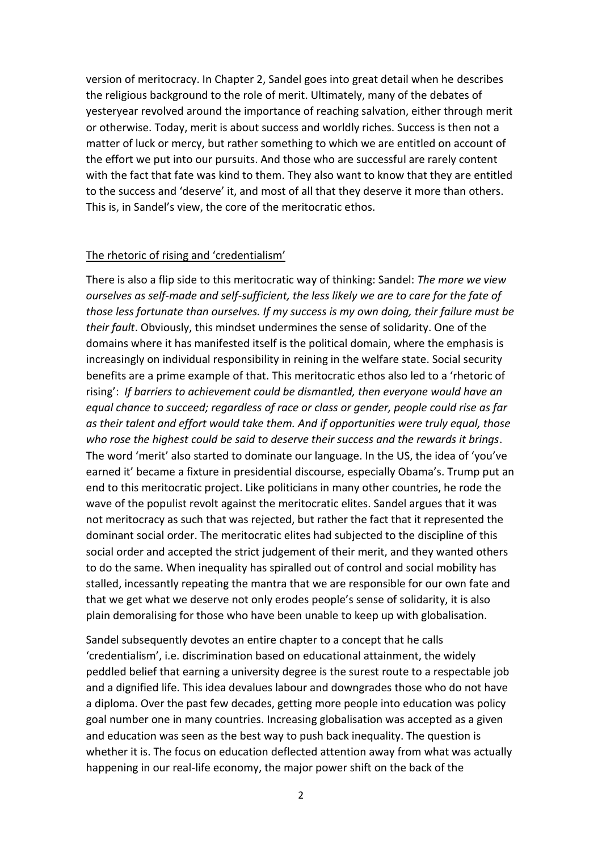version of meritocracy. In Chapter 2, Sandel goes into great detail when he describes the religious background to the role of merit. Ultimately, many of the debates of yesteryear revolved around the importance of reaching salvation, either through merit or otherwise. Today, merit is about success and worldly riches. Success is then not a matter of luck or mercy, but rather something to which we are entitled on account of the effort we put into our pursuits. And those who are successful are rarely content with the fact that fate was kind to them. They also want to know that they are entitled to the success and 'deserve' it, and most of all that they deserve it more than others. This is, in Sandel's view, the core of the meritocratic ethos.

#### The rhetoric of rising and 'credentialism'

There is also a flip side to this meritocratic way of thinking: Sandel: *The more we view ourselves as self-made and self-sufficient, the less likely we are to care for the fate of those less fortunate than ourselves. If my success is my own doing, their failure must be their fault*. Obviously, this mindset undermines the sense of solidarity. One of the domains where it has manifested itself is the political domain, where the emphasis is increasingly on individual responsibility in reining in the welfare state. Social security benefits are a prime example of that. This meritocratic ethos also led to a 'rhetoric of rising': *If barriers to achievement could be dismantled, then everyone would have an equal chance to succeed; regardless of race or class or gender, people could rise as far as their talent and effort would take them. And if opportunities were truly equal, those who rose the highest could be said to deserve their success and the rewards it brings*. The word 'merit' also started to dominate our language. In the US, the idea of 'you've earned it' became a fixture in presidential discourse, especially Obama's. Trump put an end to this meritocratic project. Like politicians in many other countries, he rode the wave of the populist revolt against the meritocratic elites. Sandel argues that it was not meritocracy as such that was rejected, but rather the fact that it represented the dominant social order. The meritocratic elites had subjected to the discipline of this social order and accepted the strict judgement of their merit, and they wanted others to do the same. When inequality has spiralled out of control and social mobility has stalled, incessantly repeating the mantra that we are responsible for our own fate and that we get what we deserve not only erodes people's sense of solidarity, it is also plain demoralising for those who have been unable to keep up with globalisation.

Sandel subsequently devotes an entire chapter to a concept that he calls 'credentialism', i.e. discrimination based on educational attainment, the widely peddled belief that earning a university degree is the surest route to a respectable job and a dignified life. This idea devalues labour and downgrades those who do not have a diploma. Over the past few decades, getting more people into education was policy goal number one in many countries. Increasing globalisation was accepted as a given and education was seen as the best way to push back inequality. The question is whether it is. The focus on education deflected attention away from what was actually happening in our real-life economy, the major power shift on the back of the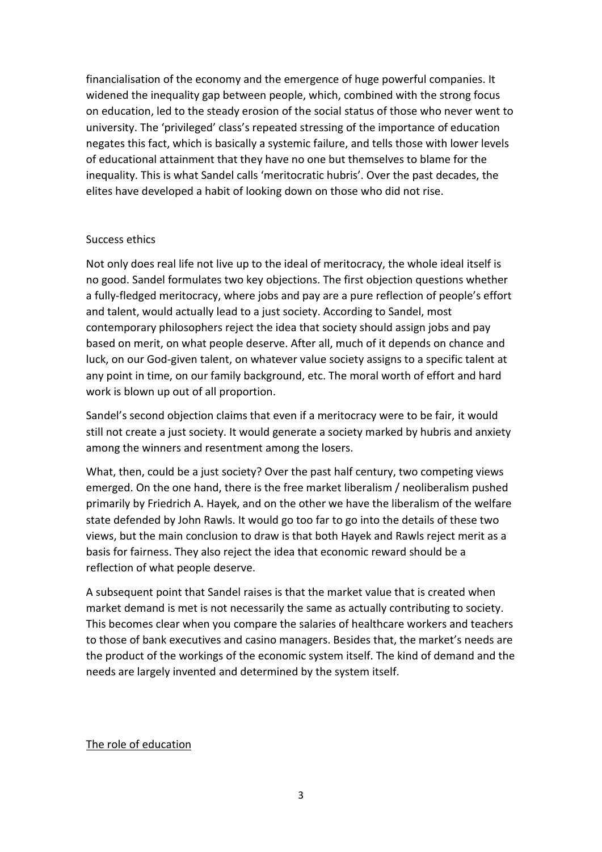financialisation of the economy and the emergence of huge powerful companies. It widened the inequality gap between people, which, combined with the strong focus on education, led to the steady erosion of the social status of those who never went to university. The 'privileged' class's repeated stressing of the importance of education negates this fact, which is basically a systemic failure, and tells those with lower levels of educational attainment that they have no one but themselves to blame for the inequality. This is what Sandel calls 'meritocratic hubris'. Over the past decades, the elites have developed a habit of looking down on those who did not rise.

#### Success ethics

Not only does real life not live up to the ideal of meritocracy, the whole ideal itself is no good. Sandel formulates two key objections. The first objection questions whether a fully-fledged meritocracy, where jobs and pay are a pure reflection of people's effort and talent, would actually lead to a just society. According to Sandel, most contemporary philosophers reject the idea that society should assign jobs and pay based on merit, on what people deserve. After all, much of it depends on chance and luck, on our God-given talent, on whatever value society assigns to a specific talent at any point in time, on our family background, etc. The moral worth of effort and hard work is blown up out of all proportion.

Sandel's second objection claims that even if a meritocracy were to be fair, it would still not create a just society. It would generate a society marked by hubris and anxiety among the winners and resentment among the losers.

What, then, could be a just society? Over the past half century, two competing views emerged. On the one hand, there is the free market liberalism / neoliberalism pushed primarily by Friedrich A. Hayek, and on the other we have the liberalism of the welfare state defended by John Rawls. It would go too far to go into the details of these two views, but the main conclusion to draw is that both Hayek and Rawls reject merit as a basis for fairness. They also reject the idea that economic reward should be a reflection of what people deserve.

A subsequent point that Sandel raises is that the market value that is created when market demand is met is not necessarily the same as actually contributing to society. This becomes clear when you compare the salaries of healthcare workers and teachers to those of bank executives and casino managers. Besides that, the market's needs are the product of the workings of the economic system itself. The kind of demand and the needs are largely invented and determined by the system itself.

# The role of education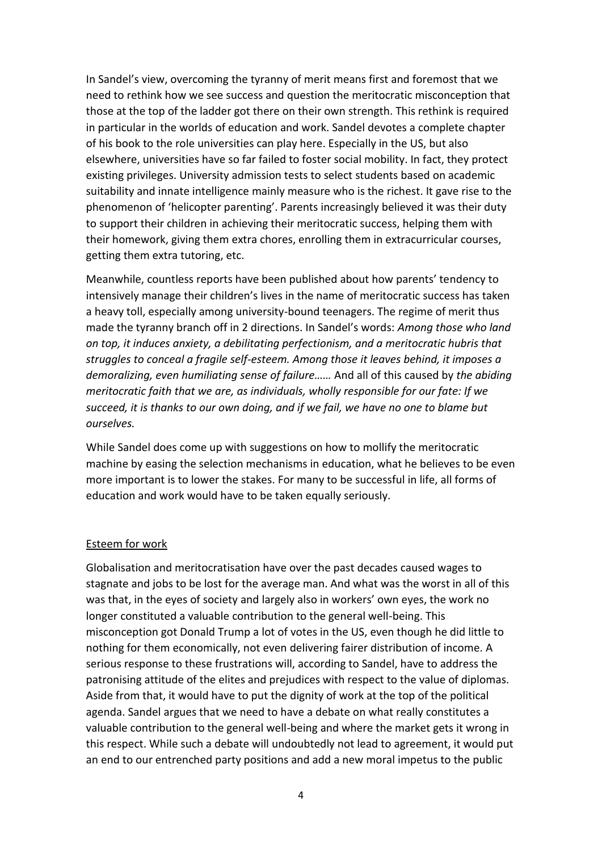In Sandel's view, overcoming the tyranny of merit means first and foremost that we need to rethink how we see success and question the meritocratic misconception that those at the top of the ladder got there on their own strength. This rethink is required in particular in the worlds of education and work. Sandel devotes a complete chapter of his book to the role universities can play here. Especially in the US, but also elsewhere, universities have so far failed to foster social mobility. In fact, they protect existing privileges. University admission tests to select students based on academic suitability and innate intelligence mainly measure who is the richest. It gave rise to the phenomenon of 'helicopter parenting'. Parents increasingly believed it was their duty to support their children in achieving their meritocratic success, helping them with their homework, giving them extra chores, enrolling them in extracurricular courses, getting them extra tutoring, etc.

Meanwhile, countless reports have been published about how parents' tendency to intensively manage their children's lives in the name of meritocratic success has taken a heavy toll, especially among university-bound teenagers. The regime of merit thus made the tyranny branch off in 2 directions. In Sandel's words: *Among those who land on top, it induces anxiety, a debilitating perfectionism, and a meritocratic hubris that struggles to conceal a fragile self-esteem. Among those it leaves behind, it imposes a demoralizing, even humiliating sense of failure……* And all of this caused by *the abiding meritocratic faith that we are, as individuals, wholly responsible for our fate: If we succeed, it is thanks to our own doing, and if we fail, we have no one to blame but ourselves.*

While Sandel does come up with suggestions on how to mollify the meritocratic machine by easing the selection mechanisms in education, what he believes to be even more important is to lower the stakes. For many to be successful in life, all forms of education and work would have to be taken equally seriously.

# Esteem for work

Globalisation and meritocratisation have over the past decades caused wages to stagnate and jobs to be lost for the average man. And what was the worst in all of this was that, in the eyes of society and largely also in workers' own eyes, the work no longer constituted a valuable contribution to the general well-being. This misconception got Donald Trump a lot of votes in the US, even though he did little to nothing for them economically, not even delivering fairer distribution of income. A serious response to these frustrations will, according to Sandel, have to address the patronising attitude of the elites and prejudices with respect to the value of diplomas. Aside from that, it would have to put the dignity of work at the top of the political agenda. Sandel argues that we need to have a debate on what really constitutes a valuable contribution to the general well-being and where the market gets it wrong in this respect. While such a debate will undoubtedly not lead to agreement, it would put an end to our entrenched party positions and add a new moral impetus to the public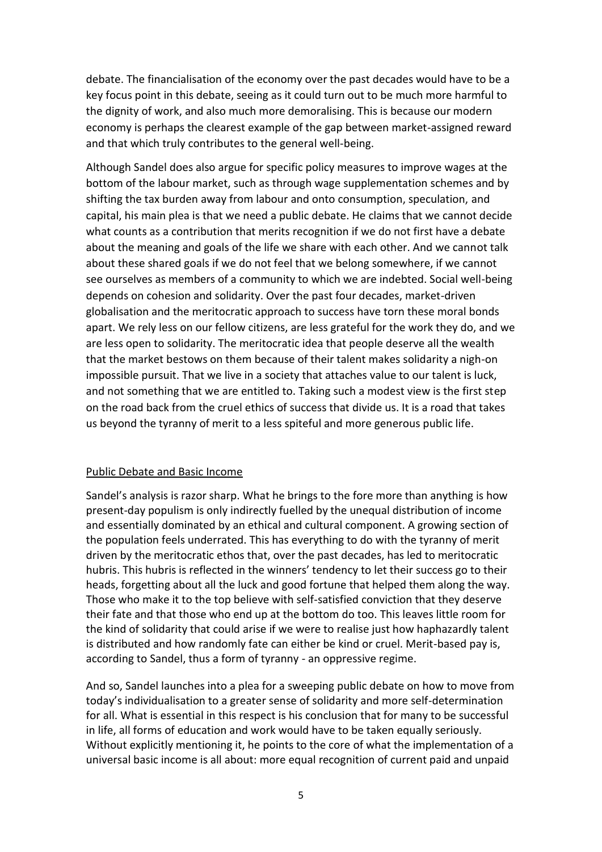debate. The financialisation of the economy over the past decades would have to be a key focus point in this debate, seeing as it could turn out to be much more harmful to the dignity of work, and also much more demoralising. This is because our modern economy is perhaps the clearest example of the gap between market-assigned reward and that which truly contributes to the general well-being.

Although Sandel does also argue for specific policy measures to improve wages at the bottom of the labour market, such as through wage supplementation schemes and by shifting the tax burden away from labour and onto consumption, speculation, and capital, his main plea is that we need a public debate. He claims that we cannot decide what counts as a contribution that merits recognition if we do not first have a debate about the meaning and goals of the life we share with each other. And we cannot talk about these shared goals if we do not feel that we belong somewhere, if we cannot see ourselves as members of a community to which we are indebted. Social well-being depends on cohesion and solidarity. Over the past four decades, market-driven globalisation and the meritocratic approach to success have torn these moral bonds apart. We rely less on our fellow citizens, are less grateful for the work they do, and we are less open to solidarity. The meritocratic idea that people deserve all the wealth that the market bestows on them because of their talent makes solidarity a nigh-on impossible pursuit. That we live in a society that attaches value to our talent is luck, and not something that we are entitled to. Taking such a modest view is the first step on the road back from the cruel ethics of success that divide us. It is a road that takes us beyond the tyranny of merit to a less spiteful and more generous public life.

# Public Debate and Basic Income

Sandel's analysis is razor sharp. What he brings to the fore more than anything is how present-day populism is only indirectly fuelled by the unequal distribution of income and essentially dominated by an ethical and cultural component. A growing section of the population feels underrated. This has everything to do with the tyranny of merit driven by the meritocratic ethos that, over the past decades, has led to meritocratic hubris. This hubris is reflected in the winners' tendency to let their success go to their heads, forgetting about all the luck and good fortune that helped them along the way. Those who make it to the top believe with self-satisfied conviction that they deserve their fate and that those who end up at the bottom do too. This leaves little room for the kind of solidarity that could arise if we were to realise just how haphazardly talent is distributed and how randomly fate can either be kind or cruel. Merit-based pay is, according to Sandel, thus a form of tyranny - an oppressive regime.

And so, Sandel launches into a plea for a sweeping public debate on how to move from today's individualisation to a greater sense of solidarity and more self-determination for all. What is essential in this respect is his conclusion that for many to be successful in life, all forms of education and work would have to be taken equally seriously. Without explicitly mentioning it, he points to the core of what the implementation of a universal basic income is all about: more equal recognition of current paid and unpaid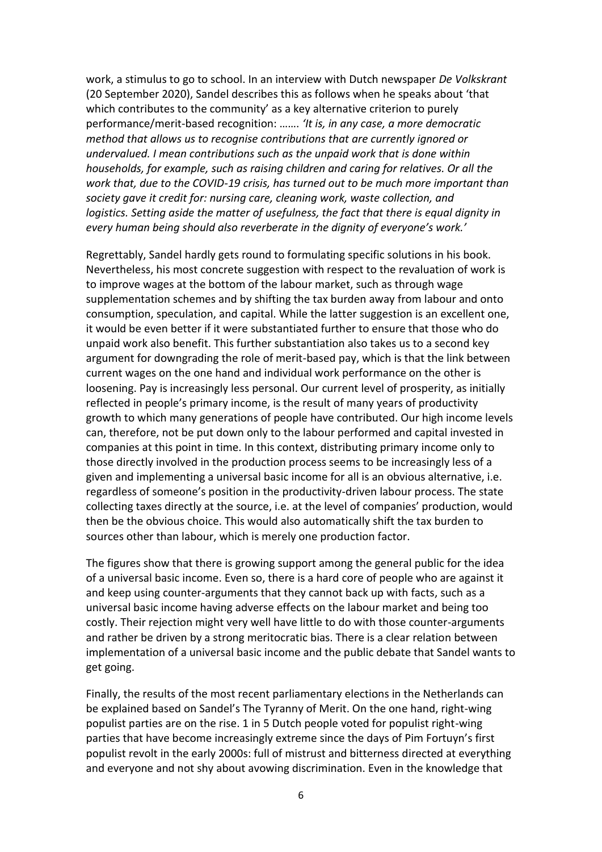work, a stimulus to go to school. In an interview with Dutch newspaper *De Volkskrant* (20 September 2020), Sandel describes this as follows when he speaks about 'that which contributes to the community' as a key alternative criterion to purely performance/merit-based recognition: ……. *'It is, in any case, a more democratic method that allows us to recognise contributions that are currently ignored or undervalued. I mean contributions such as the unpaid work that is done within households, for example, such as raising children and caring for relatives. Or all the work that, due to the COVID-19 crisis, has turned out to be much more important than society gave it credit for: nursing care, cleaning work, waste collection, and logistics. Setting aside the matter of usefulness, the fact that there is equal dignity in every human being should also reverberate in the dignity of everyone's work.'*

Regrettably, Sandel hardly gets round to formulating specific solutions in his book. Nevertheless, his most concrete suggestion with respect to the revaluation of work is to improve wages at the bottom of the labour market, such as through wage supplementation schemes and by shifting the tax burden away from labour and onto consumption, speculation, and capital. While the latter suggestion is an excellent one, it would be even better if it were substantiated further to ensure that those who do unpaid work also benefit. This further substantiation also takes us to a second key argument for downgrading the role of merit-based pay, which is that the link between current wages on the one hand and individual work performance on the other is loosening. Pay is increasingly less personal. Our current level of prosperity, as initially reflected in people's primary income, is the result of many years of productivity growth to which many generations of people have contributed. Our high income levels can, therefore, not be put down only to the labour performed and capital invested in companies at this point in time. In this context, distributing primary income only to those directly involved in the production process seems to be increasingly less of a given and implementing a universal basic income for all is an obvious alternative, i.e. regardless of someone's position in the productivity-driven labour process. The state collecting taxes directly at the source, i.e. at the level of companies' production, would then be the obvious choice. This would also automatically shift the tax burden to sources other than labour, which is merely one production factor.

The figures show that there is growing support among the general public for the idea of a universal basic income. Even so, there is a hard core of people who are against it and keep using counter-arguments that they cannot back up with facts, such as a universal basic income having adverse effects on the labour market and being too costly. Their rejection might very well have little to do with those counter-arguments and rather be driven by a strong meritocratic bias. There is a clear relation between implementation of a universal basic income and the public debate that Sandel wants to get going.

Finally, the results of the most recent parliamentary elections in the Netherlands can be explained based on Sandel's The Tyranny of Merit. On the one hand, right-wing populist parties are on the rise. 1 in 5 Dutch people voted for populist right-wing parties that have become increasingly extreme since the days of Pim Fortuyn's first populist revolt in the early 2000s: full of mistrust and bitterness directed at everything and everyone and not shy about avowing discrimination. Even in the knowledge that